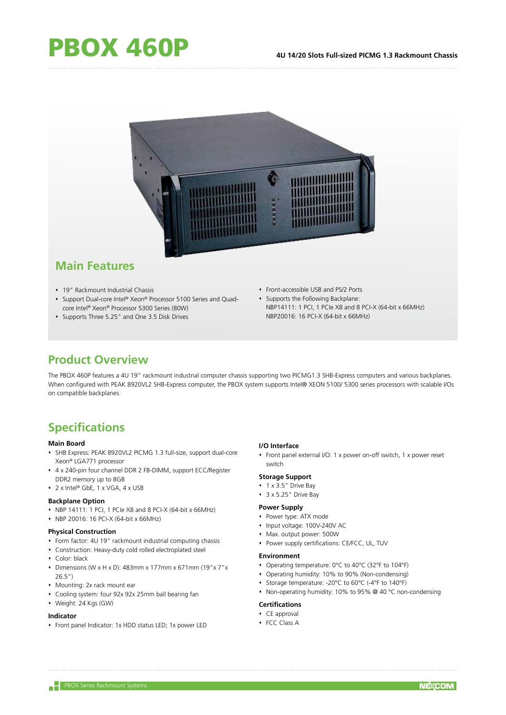

## **Main Features**

- 19" Rackmount Industrial Chassis
- Support Dual-core Intel® Xeon® Processor 5100 Series and Quadcore Intel® Xeon® Processor 5300 Series (80W)
- Supports Three 5.25" and One 3.5 Disk Drives
- Front-accessible USB and PS/2 Ports
- Supports the Following Backplane: NBP14111: 1 PCI, 1 PCIe X8 and 8 PCI-X (64-bit x 66MHz) NBP20016: 16 PCI-X (64-bit x 66MHz)

## **Product Overview**

The PBOX 460P features a 4U 19" rackmount industrial computer chassis supporting two PICMG1.3 SHB-Express computers and various backplanes. When configured with PEAK 8920VL2 SHB-Express computer, the PBOX system supports Intel® XEON 5100/ 5300 series processors with scalable I/Os on compatible backplanes.

# **Specifications**

## **Main Board**

- SHB Express: PEAK 8920VL2 PICMG 1.3 full-size, support dual-core Xeon® LGA771 processor
- 4 x 240-pin four channel DDR 2 FB-DIMM, support ECC/Register DDR2 memory up to 8GB
- 2 x Intel® GbE, 1 x VGA, 4 x USB

## **Backplane Option**

- $\cdot$  NBP 14111: 1 PCI, 1 PCIe X8 and 8 PCI-X (64-bit x 66MHz)
- NBP 20016: 16 PCI-X (64-bit x 66MHz)

#### **Physical Construction**

- Form factor: 4U 19" rackmount industrial computing chassis
- Construction: Heavy-duty cold rolled electroplated steel
- Color: black
- Dimensions (W x H x D): 483mm x 177mm x 671mm (19"x 7"x 26.5")
- Mounting: 2x rack mount ear
- Cooling system: four 92x 92x 25mm ball bearing fan
- Weight: 24 Kgs (GW)

#### **Indicator**

Front panel Indicator: 1x HDD status LED; 1x power LED

## **I/O Interface**

 Front panel external I/O: 1 x power on-off switch, 1 x power reset switch

### **Storage Support**

- 1 x 3.5" Drive Bay
- 3 x 5.25" Drive Bay

### **Power Supply**

- Power type: ATX mode
- Input voltage: 100V-240V AC
- Max. output power: 500W
- Power supply certifications: CE/FCC, UL, TUV

#### **Environment**

- Operating temperature: 0°C to 40°C (32°F to 104°F)
- Operating humidity: 10% to 90% (Non-condensing)
- Storage temperature: -20°C to 60°C (-4°F to 140°F)
- Non-operating humidity: 10% to 95% @ 40 °C non-condensing

#### **Certifications**

- CE approval
- FCC Class A